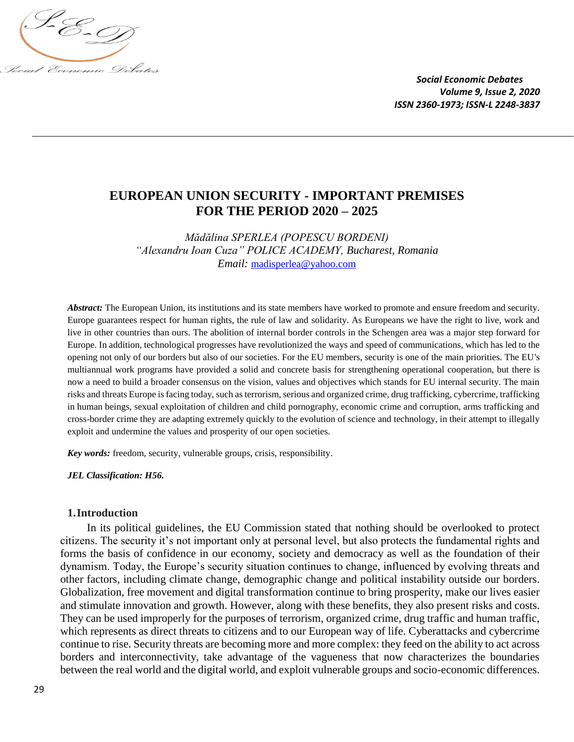

# **EUROPEAN UNION SECURITY - IMPORTANT PREMISES FOR THE PERIOD 2020 – 2025**

*Mădălina SPERLEA (POPESCU BORDENI) "Alexandru Ioan Cuza" POLICE ACADEMY, Bucharest, Romania Email:* [madisperlea@yahoo.com](mailto:madisperlea@yahoo.com)

*Abstract:* The European Union, its institutions and its state members have worked to promote and ensure freedom and security. Europe guarantees respect for human rights, the rule of law and solidarity. As Europeans we have the right to live, work and live in other countries than ours. The abolition of internal border controls in the Schengen area was a major step forward for Europe. In addition, technological progresses have revolutionized the ways and speed of communications, which has led to the opening not only of our borders but also of our societies. For the EU members, security is one of the main priorities. The EU's multiannual work programs have provided a solid and concrete basis for strengthening operational cooperation, but there is now a need to build a broader consensus on the vision, values and objectives which stands for EU internal security. The main risks and threats Europe is facing today, such as terrorism, serious and organized crime, drug trafficking, cybercrime, trafficking in human beings, sexual exploitation of children and child pornography, economic crime and corruption, arms trafficking and cross-border crime they are adapting extremely quickly to the evolution of science and technology, in their attempt to illegally exploit and undermine the values and prosperity of our open societies.

*Key words:* freedom, security, vulnerable groups, crisis, responsibility.

*JEL Classification: H56.*

#### **1.Introduction**

In its political guidelines, the EU Commission stated that nothing should be overlooked to protect citizens. The security it's not important only at personal level, but also protects the fundamental rights and forms the basis of confidence in our economy, society and democracy as well as the foundation of their dynamism. Today, the Europe's security situation continues to change, influenced by evolving threats and other factors, including climate change, demographic change and political instability outside our borders. Globalization, free movement and digital transformation continue to bring prosperity, make our lives easier and stimulate innovation and growth. However, along with these benefits, they also present risks and costs. They can be used improperly for the purposes of terrorism, organized crime, drug traffic and human traffic, which represents as direct threats to citizens and to our European way of life. Cyberattacks and cybercrime continue to rise. Security threats are becoming more and more complex: they feed on the ability to act across borders and interconnectivity, take advantage of the vagueness that now characterizes the boundaries between the real world and the digital world, and exploit vulnerable groups and socio-economic differences.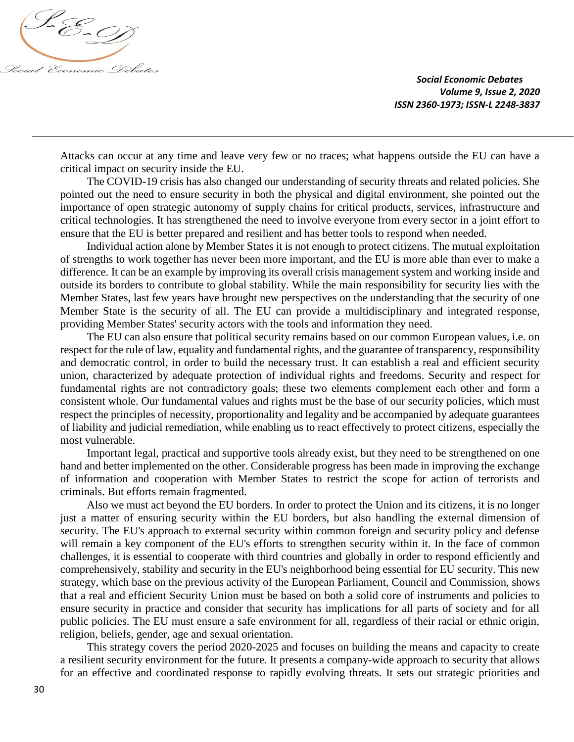

Attacks can occur at any time and leave very few or no traces; what happens outside the EU can have a critical impact on security inside the EU.

The COVID-19 crisis has also changed our understanding of security threats and related policies. She pointed out the need to ensure security in both the physical and digital environment, she pointed out the importance of open strategic autonomy of supply chains for critical products, services, infrastructure and critical technologies. It has strengthened the need to involve everyone from every sector in a joint effort to ensure that the EU is better prepared and resilient and has better tools to respond when needed.

Individual action alone by Member States it is not enough to protect citizens. The mutual exploitation of strengths to work together has never been more important, and the EU is more able than ever to make a difference. It can be an example by improving its overall crisis management system and working inside and outside its borders to contribute to global stability. While the main responsibility for security lies with the Member States, last few years have brought new perspectives on the understanding that the security of one Member State is the security of all. The EU can provide a multidisciplinary and integrated response, providing Member States' security actors with the tools and information they need.

The EU can also ensure that political security remains based on our common European values, i.e. on respect for the rule of law, equality and fundamental rights, and the guarantee of transparency, responsibility and democratic control, in order to build the necessary trust. It can establish a real and efficient security union, characterized by adequate protection of individual rights and freedoms. Security and respect for fundamental rights are not contradictory goals; these two elements complement each other and form a consistent whole. Our fundamental values and rights must be the base of our security policies, which must respect the principles of necessity, proportionality and legality and be accompanied by adequate guarantees of liability and judicial remediation, while enabling us to react effectively to protect citizens, especially the most vulnerable.

Important legal, practical and supportive tools already exist, but they need to be strengthened on one hand and better implemented on the other. Considerable progress has been made in improving the exchange of information and cooperation with Member States to restrict the scope for action of terrorists and criminals. But efforts remain fragmented.

Also we must act beyond the EU borders. In order to protect the Union and its citizens, it is no longer just a matter of ensuring security within the EU borders, but also handling the external dimension of security. The EU's approach to external security within common foreign and security policy and defense will remain a key component of the EU's efforts to strengthen security within it. In the face of common challenges, it is essential to cooperate with third countries and globally in order to respond efficiently and comprehensively, stability and security in the EU's neighborhood being essential for EU security. This new strategy, which base on the previous activity of the European Parliament, Council and Commission, shows that a real and efficient Security Union must be based on both a solid core of instruments and policies to ensure security in practice and consider that security has implications for all parts of society and for all public policies. The EU must ensure a safe environment for all, regardless of their racial or ethnic origin, religion, beliefs, gender, age and sexual orientation.

This strategy covers the period 2020-2025 and focuses on building the means and capacity to create a resilient security environment for the future. It presents a company-wide approach to security that allows for an effective and coordinated response to rapidly evolving threats. It sets out strategic priorities and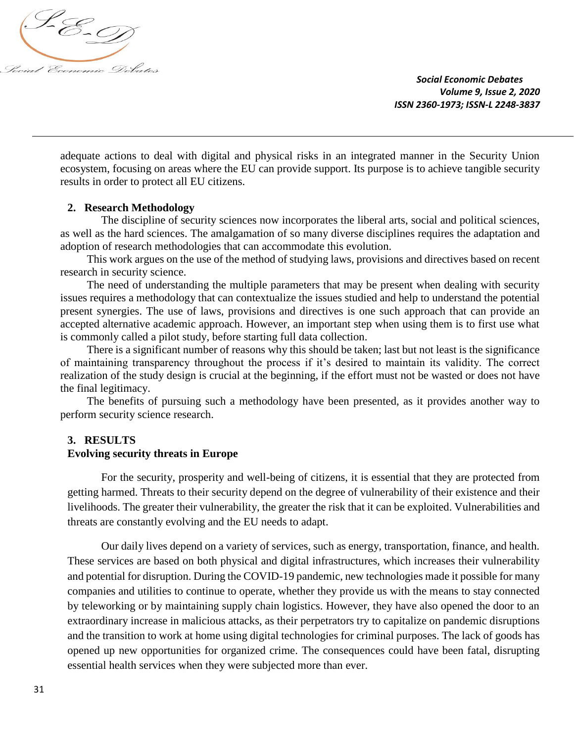

adequate actions to deal with digital and physical risks in an integrated manner in the Security Union ecosystem, focusing on areas where the EU can provide support. Its purpose is to achieve tangible security results in order to protect all EU citizens.

### **2. Research Methodology**

The discipline of security sciences now incorporates the liberal arts, social and political sciences, as well as the hard sciences. The amalgamation of so many diverse disciplines requires the adaptation and adoption of research methodologies that can accommodate this evolution.

This work argues on the use of the method of studying laws, provisions and directives based on recent research in security science.

The need of understanding the multiple parameters that may be present when dealing with security issues requires a methodology that can contextualize the issues studied and help to understand the potential present synergies. The use of laws, provisions and directives is one such approach that can provide an accepted alternative academic approach. However, an important step when using them is to first use what is commonly called a pilot study, before starting full data collection.

There is a significant number of reasons why this should be taken; last but not least is the significance of maintaining transparency throughout the process if it's desired to maintain its validity. The correct realization of the study design is crucial at the beginning, if the effort must not be wasted or does not have the final legitimacy.

The benefits of pursuing such a methodology have been presented, as it provides another way to perform security science research.

#### **3. RESULTS**

#### **Evolving security threats in Europe**

For the security, prosperity and well-being of citizens, it is essential that they are protected from getting harmed. Threats to their security depend on the degree of vulnerability of their existence and their livelihoods. The greater their vulnerability, the greater the risk that it can be exploited. Vulnerabilities and threats are constantly evolving and the EU needs to adapt.

Our daily lives depend on a variety of services, such as energy, transportation, finance, and health. These services are based on both physical and digital infrastructures, which increases their vulnerability and potential for disruption. During the COVID-19 pandemic, new technologies made it possible for many companies and utilities to continue to operate, whether they provide us with the means to stay connected by teleworking or by maintaining supply chain logistics. However, they have also opened the door to an extraordinary increase in malicious attacks, as their perpetrators try to capitalize on pandemic disruptions and the transition to work at home using digital technologies for criminal purposes. The lack of goods has opened up new opportunities for organized crime. The consequences could have been fatal, disrupting essential health services when they were subjected more than ever.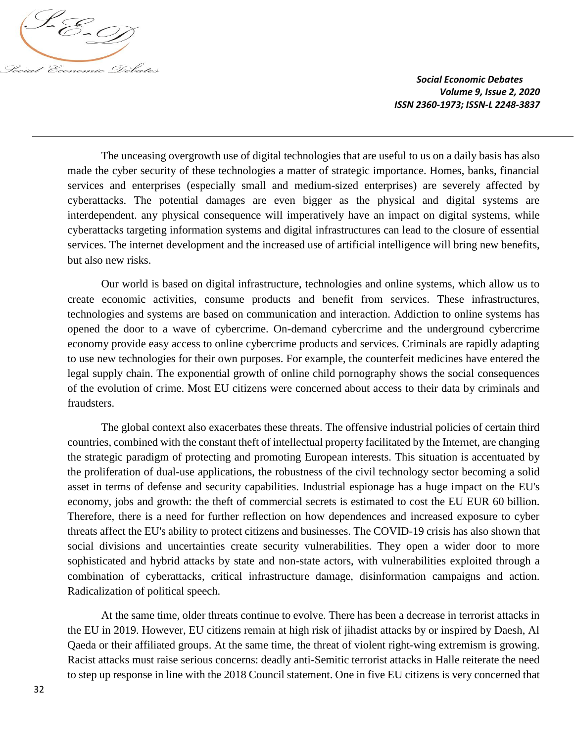

The unceasing overgrowth use of digital technologies that are useful to us on a daily basis has also made the cyber security of these technologies a matter of strategic importance. Homes, banks, financial services and enterprises (especially small and medium-sized enterprises) are severely affected by cyberattacks. The potential damages are even bigger as the physical and digital systems are interdependent. any physical consequence will imperatively have an impact on digital systems, while cyberattacks targeting information systems and digital infrastructures can lead to the closure of essential services. The internet development and the increased use of artificial intelligence will bring new benefits, but also new risks.

Our world is based on digital infrastructure, technologies and online systems, which allow us to create economic activities, consume products and benefit from services. These infrastructures, technologies and systems are based on communication and interaction. Addiction to online systems has opened the door to a wave of cybercrime. On-demand cybercrime and the underground cybercrime economy provide easy access to online cybercrime products and services. Criminals are rapidly adapting to use new technologies for their own purposes. For example, the counterfeit medicines have entered the legal supply chain. The exponential growth of online child pornography shows the social consequences of the evolution of crime. Most EU citizens were concerned about access to their data by criminals and fraudsters.

The global context also exacerbates these threats. The offensive industrial policies of certain third countries, combined with the constant theft of intellectual property facilitated by the Internet, are changing the strategic paradigm of protecting and promoting European interests. This situation is accentuated by the proliferation of dual-use applications, the robustness of the civil technology sector becoming a solid asset in terms of defense and security capabilities. Industrial espionage has a huge impact on the EU's economy, jobs and growth: the theft of commercial secrets is estimated to cost the EU EUR 60 billion. Therefore, there is a need for further reflection on how dependences and increased exposure to cyber threats affect the EU's ability to protect citizens and businesses. The COVID-19 crisis has also shown that social divisions and uncertainties create security vulnerabilities. They open a wider door to more sophisticated and hybrid attacks by state and non-state actors, with vulnerabilities exploited through a combination of cyberattacks, critical infrastructure damage, disinformation campaigns and action. Radicalization of political speech.

At the same time, older threats continue to evolve. There has been a decrease in terrorist attacks in the EU in 2019. However, EU citizens remain at high risk of jihadist attacks by or inspired by Daesh, Al Qaeda or their affiliated groups. At the same time, the threat of violent right-wing extremism is growing. Racist attacks must raise serious concerns: deadly anti-Semitic terrorist attacks in Halle reiterate the need to step up response in line with the 2018 Council statement. One in five EU citizens is very concerned that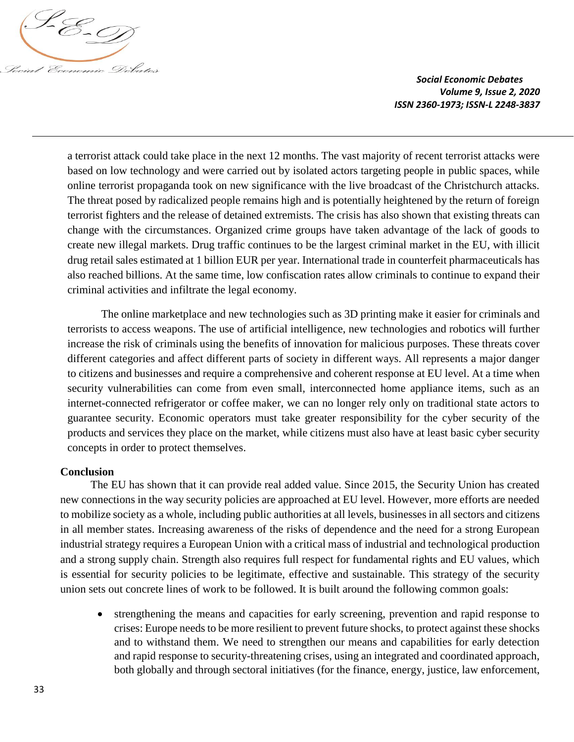

a terrorist attack could take place in the next 12 months. The vast majority of recent terrorist attacks were based on low technology and were carried out by isolated actors targeting people in public spaces, while online terrorist propaganda took on new significance with the live broadcast of the Christchurch attacks. The threat posed by radicalized people remains high and is potentially heightened by the return of foreign terrorist fighters and the release of detained extremists. The crisis has also shown that existing threats can change with the circumstances. Organized crime groups have taken advantage of the lack of goods to create new illegal markets. Drug traffic continues to be the largest criminal market in the EU, with illicit drug retail sales estimated at 1 billion EUR per year. International trade in counterfeit pharmaceuticals has also reached billions. At the same time, low confiscation rates allow criminals to continue to expand their criminal activities and infiltrate the legal economy.

The online marketplace and new technologies such as 3D printing make it easier for criminals and terrorists to access weapons. The use of artificial intelligence, new technologies and robotics will further increase the risk of criminals using the benefits of innovation for malicious purposes. These threats cover different categories and affect different parts of society in different ways. All represents a major danger to citizens and businesses and require a comprehensive and coherent response at EU level. At a time when security vulnerabilities can come from even small, interconnected home appliance items, such as an internet-connected refrigerator or coffee maker, we can no longer rely only on traditional state actors to guarantee security. Economic operators must take greater responsibility for the cyber security of the products and services they place on the market, while citizens must also have at least basic cyber security concepts in order to protect themselves.

## **Conclusion**

The EU has shown that it can provide real added value. Since 2015, the Security Union has created new connections in the way security policies are approached at EU level. However, more efforts are needed to mobilize society as a whole, including public authorities at all levels, businesses in all sectors and citizens in all member states. Increasing awareness of the risks of dependence and the need for a strong European industrial strategy requires a European Union with a critical mass of industrial and technological production and a strong supply chain. Strength also requires full respect for fundamental rights and EU values, which is essential for security policies to be legitimate, effective and sustainable. This strategy of the security union sets out concrete lines of work to be followed. It is built around the following common goals:

 strengthening the means and capacities for early screening, prevention and rapid response to crises: Europe needs to be more resilient to prevent future shocks, to protect against these shocks and to withstand them. We need to strengthen our means and capabilities for early detection and rapid response to security-threatening crises, using an integrated and coordinated approach, both globally and through sectoral initiatives (for the finance, energy, justice, law enforcement,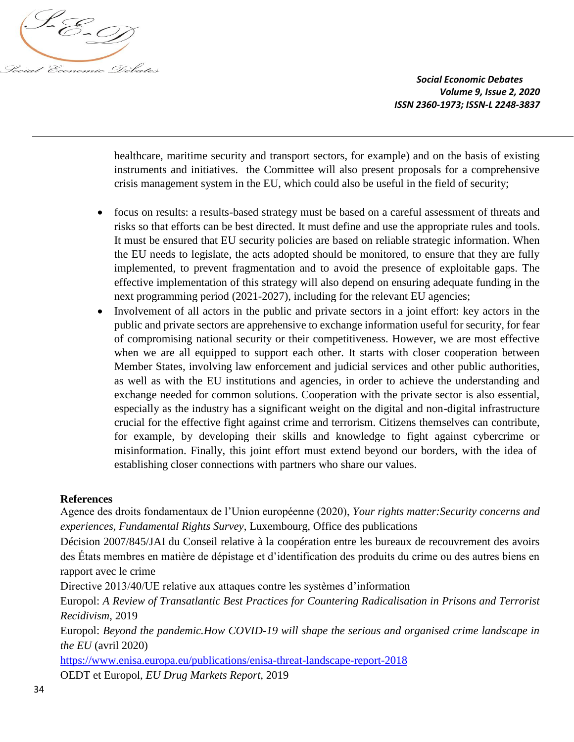

healthcare, maritime security and transport sectors, for example) and on the basis of existing instruments and initiatives. the Committee will also present proposals for a comprehensive crisis management system in the EU, which could also be useful in the field of security;

- focus on results: a results-based strategy must be based on a careful assessment of threats and risks so that efforts can be best directed. It must define and use the appropriate rules and tools. It must be ensured that EU security policies are based on reliable strategic information. When the EU needs to legislate, the acts adopted should be monitored, to ensure that they are fully implemented, to prevent fragmentation and to avoid the presence of exploitable gaps. The effective implementation of this strategy will also depend on ensuring adequate funding in the next programming period (2021-2027), including for the relevant EU agencies;
- Involvement of all actors in the public and private sectors in a joint effort: key actors in the public and private sectors are apprehensive to exchange information useful for security, for fear of compromising national security or their competitiveness. However, we are most effective when we are all equipped to support each other. It starts with closer cooperation between Member States, involving law enforcement and judicial services and other public authorities, as well as with the EU institutions and agencies, in order to achieve the understanding and exchange needed for common solutions. Cooperation with the private sector is also essential, especially as the industry has a significant weight on the digital and non-digital infrastructure crucial for the effective fight against crime and terrorism. Citizens themselves can contribute, for example, by developing their skills and knowledge to fight against cybercrime or misinformation. Finally, this joint effort must extend beyond our borders, with the idea of establishing closer connections with partners who share our values.

## **References**

Agence des droits fondamentaux de l'Union européenne (2020), *Your rights matter:Security concerns and experiences, Fundamental Rights Survey*, Luxembourg, Office des publications

Décision 2007/845/JAI du Conseil relative à la coopération entre les bureaux de recouvrement des avoirs des États membres en matière de dépistage et d'identification des produits du crime ou des autres biens en rapport avec le crime

Directive 2013/40/UE relative aux attaques contre les systèmes d'information

Europol: *A Review of Transatlantic Best Practices for Countering Radicalisation in Prisons and Terrorist Recidivism*, 2019

Europol: *Beyond the pandemic.How COVID-19 will shape the serious and organised crime landscape in the EU* (avril 2020)

<https://www.enisa.europa.eu/publications/enisa-threat-landscape-report-2018> OEDT et Europol, *EU Drug Markets Report*, 2019